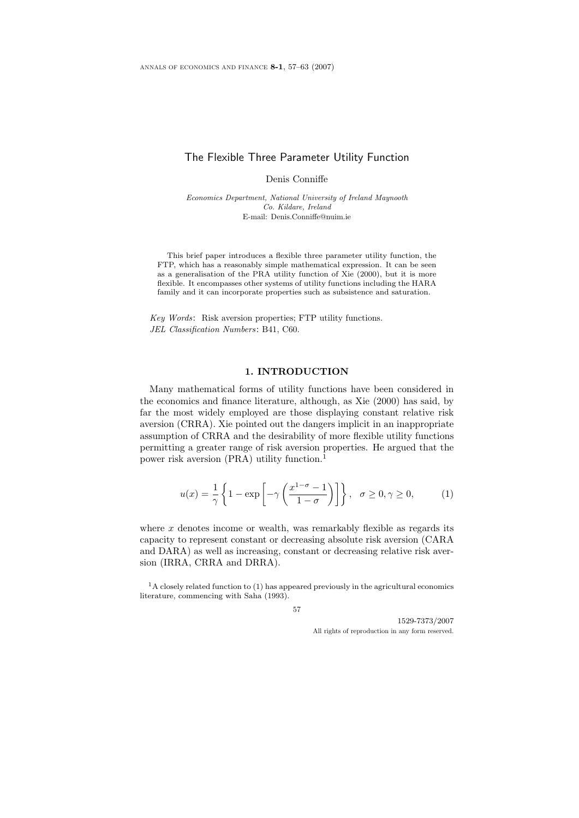# The Flexible Three Parameter Utility Function

Denis Conniffe

Economics Department, National University of Ireland Maynooth Co. Kildare, Ireland E-mail: Denis.Conniffe@nuim.ie

This brief paper introduces a flexible three parameter utility function, the FTP, which has a reasonably simple mathematical expression. It can be seen as a generalisation of the PRA utility function of Xie (2000), but it is more flexible. It encompasses other systems of utility functions including the HARA family and it can incorporate properties such as subsistence and saturation.

Key Words: Risk aversion properties; FTP utility functions. JEL Classification Numbers: B41, C60.

## 1. INTRODUCTION

Many mathematical forms of utility functions have been considered in the economics and finance literature, although, as Xie (2000) has said, by far the most widely employed are those displaying constant relative risk aversion (CRRA). Xie pointed out the dangers implicit in an inappropriate assumption of CRRA and the desirability of more flexible utility functions permitting a greater range of risk aversion properties. He argued that the power risk aversion (PRA) utility function.<sup>1</sup>

$$
u(x) = \frac{1}{\gamma} \left\{ 1 - \exp\left[ -\gamma \left( \frac{x^{1-\sigma} - 1}{1 - \sigma} \right) \right] \right\}, \quad \sigma \ge 0, \gamma \ge 0,
$$
 (1)

where  $x$  denotes income or wealth, was remarkably flexible as regards its capacity to represent constant or decreasing absolute risk aversion (CARA and DARA) as well as increasing, constant or decreasing relative risk aversion (IRRA, CRRA and DRRA).

 $1A$  closely related function to (1) has appeared previously in the agricultural economics literature, commencing with Saha (1993).

57

1529-7373/2007 All rights of reproduction in any form reserved.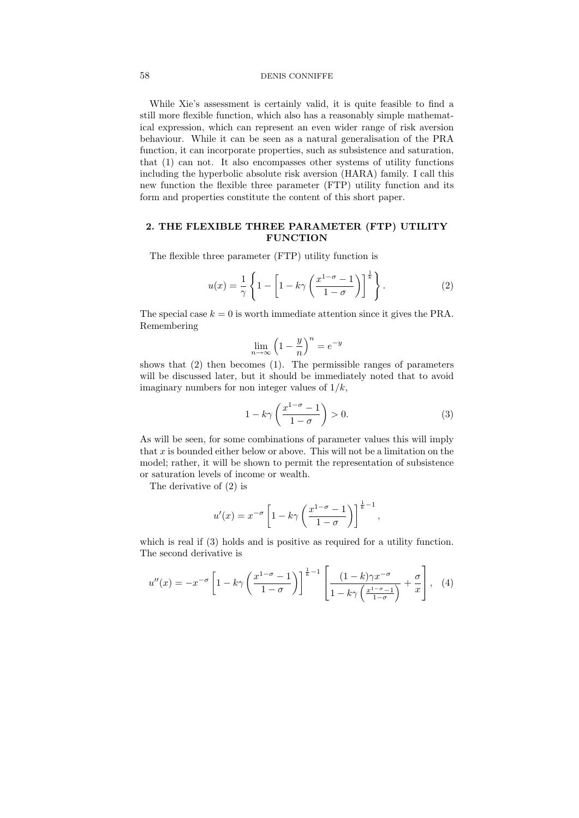#### 58 DENIS CONNIFFE

While Xie's assessment is certainly valid, it is quite feasible to find a still more flexible function, which also has a reasonably simple mathematical expression, which can represent an even wider range of risk aversion behaviour. While it can be seen as a natural generalisation of the PRA function, it can incorporate properties, such as subsistence and saturation, that (1) can not. It also encompasses other systems of utility functions including the hyperbolic absolute risk aversion (HARA) family. I call this new function the flexible three parameter (FTP) utility function and its form and properties constitute the content of this short paper.

## 2. THE FLEXIBLE THREE PARAMETER (FTP) UTILITY **FUNCTION**

The flexible three parameter (FTP) utility function is

$$
u(x) = \frac{1}{\gamma} \left\{ 1 - \left[ 1 - k\gamma \left( \frac{x^{1-\sigma} - 1}{1 - \sigma} \right) \right]^{\frac{1}{k}} \right\}.
$$
 (2)

The special case  $k = 0$  is worth immediate attention since it gives the PRA. Remembering

$$
\lim_{n \to \infty} \left( 1 - \frac{y}{n} \right)^n = e^{-y}
$$

shows that (2) then becomes (1). The permissible ranges of parameters will be discussed later, but it should be immediately noted that to avoid imaginary numbers for non integer values of  $1/k$ ,

$$
1 - k\gamma \left(\frac{x^{1-\sigma} - 1}{1 - \sigma}\right) > 0.
$$
\n(3)

As will be seen, for some combinations of parameter values this will imply that  $x$  is bounded either below or above. This will not be a limitation on the model; rather, it will be shown to permit the representation of subsistence or saturation levels of income or wealth.

The derivative of (2) is

$$
u'(x) = x^{-\sigma} \left[ 1 - k\gamma \left( \frac{x^{1-\sigma} - 1}{1 - \sigma} \right) \right]^{\frac{1}{k} - 1},
$$

which is real if (3) holds and is positive as required for a utility function. The second derivative is

$$
u''(x) = -x^{-\sigma} \left[ 1 - k\gamma \left( \frac{x^{1-\sigma} - 1}{1-\sigma} \right) \right]^{\frac{1}{k}-1} \left[ \frac{(1-k)\gamma x^{-\sigma}}{1 - k\gamma \left( \frac{x^{1-\sigma} - 1}{1-\sigma} \right)} + \frac{\sigma}{x} \right], \quad (4)
$$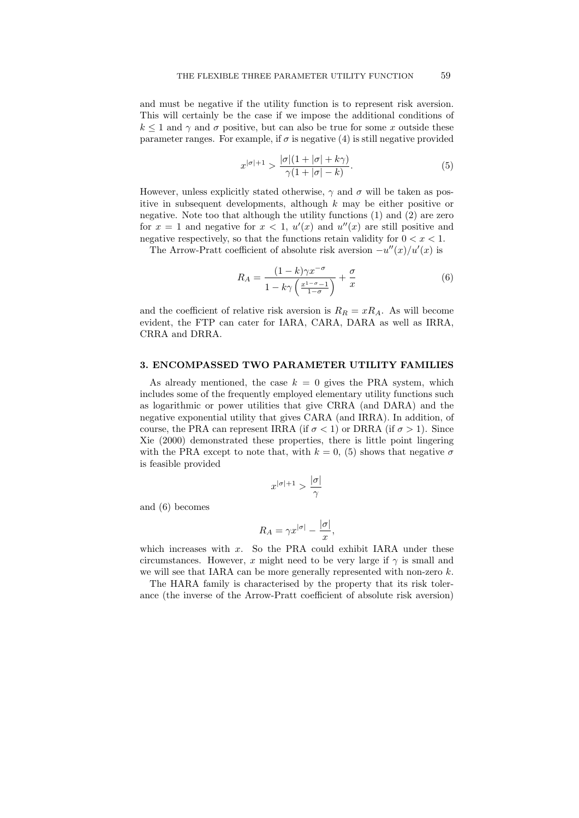and must be negative if the utility function is to represent risk aversion. This will certainly be the case if we impose the additional conditions of  $k \leq 1$  and  $\gamma$  and  $\sigma$  positive, but can also be true for some x outside these parameter ranges. For example, if  $\sigma$  is negative (4) is still negative provided

$$
x^{|\sigma|+1} > \frac{|\sigma|(1+|\sigma|+k\gamma)}{\gamma(1+|\sigma|-k)}.\tag{5}
$$

However, unless explicitly stated otherwise,  $\gamma$  and  $\sigma$  will be taken as positive in subsequent developments, although  $k$  may be either positive or negative. Note too that although the utility functions (1) and (2) are zero for  $x = 1$  and negative for  $x < 1$ ,  $u'(x)$  and  $u''(x)$  are still positive and negative respectively, so that the functions retain validity for  $0 < x < 1$ .

The Arrow-Pratt coefficient of absolute risk aversion  $-u''(x)/u'(x)$  is

$$
R_A = \frac{(1-k)\gamma x^{-\sigma}}{1 - k\gamma \left(\frac{x^{1-\sigma}-1}{1-\sigma}\right)} + \frac{\sigma}{x}
$$
(6)

and the coefficient of relative risk aversion is  $R_R = xR_A$ . As will become evident, the FTP can cater for IARA, CARA, DARA as well as IRRA, CRRA and DRRA.

### 3. ENCOMPASSED TWO PARAMETER UTILITY FAMILIES

As already mentioned, the case  $k = 0$  gives the PRA system, which includes some of the frequently employed elementary utility functions such as logarithmic or power utilities that give CRRA (and DARA) and the negative exponential utility that gives CARA (and IRRA). In addition, of course, the PRA can represent IRRA (if  $\sigma$  < 1) or DRRA (if  $\sigma$  > 1). Since Xie (2000) demonstrated these properties, there is little point lingering with the PRA except to note that, with  $k = 0$ , (5) shows that negative  $\sigma$ is feasible provided

$$
x^{|\sigma|+1} > \frac{|\sigma|}{\gamma}
$$

and (6) becomes

$$
R_A = \gamma x^{|\sigma|} - \frac{|\sigma|}{x},
$$

which increases with  $x$ . So the PRA could exhibit IARA under these circumstances. However, x might need to be very large if  $\gamma$  is small and we will see that IARA can be more generally represented with non-zero  $k$ .

The HARA family is characterised by the property that its risk tolerance (the inverse of the Arrow-Pratt coefficient of absolute risk aversion)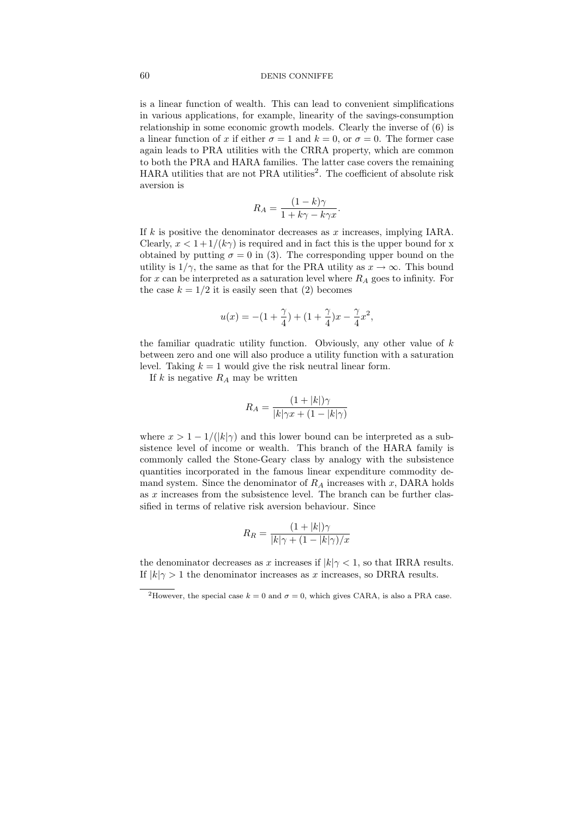#### 60 DENIS CONNIFFE

is a linear function of wealth. This can lead to convenient simplifications in various applications, for example, linearity of the savings-consumption relationship in some economic growth models. Clearly the inverse of (6) is a linear function of x if either  $\sigma = 1$  and  $k = 0$ , or  $\sigma = 0$ . The former case again leads to PRA utilities with the CRRA property, which are common to both the PRA and HARA families. The latter case covers the remaining HARA utilities that are not PRA utilities<sup>2</sup>. The coefficient of absolute risk aversion is

$$
R_A = \frac{(1-k)\gamma}{1+k\gamma - k\gamma x}.
$$

If  $k$  is positive the denominator decreases as  $x$  increases, implying IARA. Clearly,  $x < 1+1/(k\gamma)$  is required and in fact this is the upper bound for x obtained by putting  $\sigma = 0$  in (3). The corresponding upper bound on the utility is  $1/\gamma$ , the same as that for the PRA utility as  $x \to \infty$ . This bound for x can be interpreted as a saturation level where  $R_A$  goes to infinity. For the case  $k = 1/2$  it is easily seen that (2) becomes

$$
u(x)=-(1+\frac{\gamma}{4})+(1+\frac{\gamma}{4})x-\frac{\gamma}{4}x^2,
$$

the familiar quadratic utility function. Obviously, any other value of  $k$ between zero and one will also produce a utility function with a saturation level. Taking  $k = 1$  would give the risk neutral linear form.

If k is negative  $R_A$  may be written

$$
R_A = \frac{(1+|k|)\gamma}{|k|\gamma x + (1-|k|\gamma)}
$$

where  $x > 1 - 1/(|k|\gamma)$  and this lower bound can be interpreted as a subsistence level of income or wealth. This branch of the HARA family is commonly called the Stone-Geary class by analogy with the subsistence quantities incorporated in the famous linear expenditure commodity demand system. Since the denominator of  $R_A$  increases with x, DARA holds as  $x$  increases from the subsistence level. The branch can be further classified in terms of relative risk aversion behaviour. Since

$$
R_R = \frac{(1+|k|)\gamma}{|k|\gamma + (1-|k|\gamma)/x}
$$

the denominator decreases as x increases if  $|k|\gamma < 1$ , so that IRRA results. If  $|k|\gamma > 1$  the denominator increases as x increases, so DRRA results.

<sup>&</sup>lt;sup>2</sup>However, the special case  $k = 0$  and  $\sigma = 0$ , which gives CARA, is also a PRA case.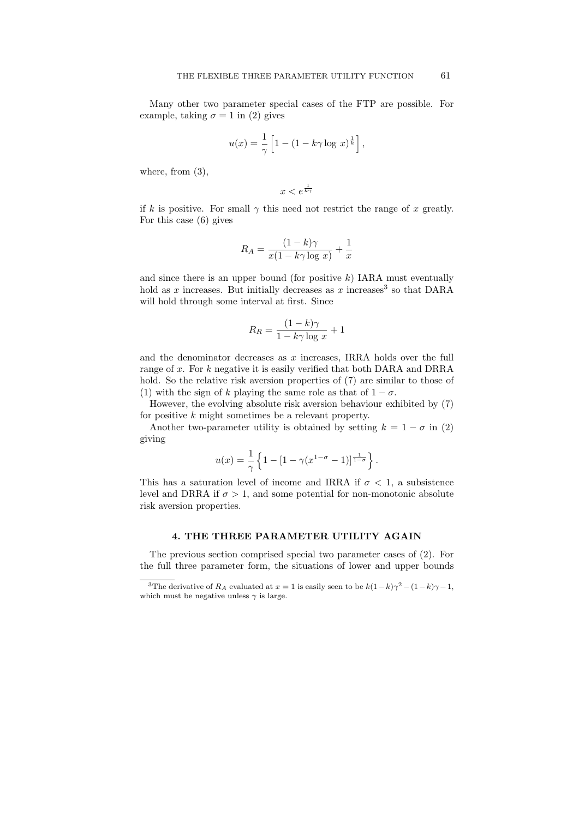Many other two parameter special cases of the FTP are possible. For example, taking  $\sigma = 1$  in (2) gives

$$
u(x) = \frac{1}{\gamma} \left[ 1 - (1 - k\gamma \log x)^{\frac{1}{k}} \right],
$$

where, from  $(3)$ ,

 $x < e^{\frac{1}{k\gamma}}$ 

if k is positive. For small  $\gamma$  this need not restrict the range of x greatly. For this case (6) gives

$$
R_A = \frac{(1-k)\gamma}{x(1-k\gamma \log x)} + \frac{1}{x}
$$

and since there is an upper bound (for positive  $k$ ) IARA must eventually hold as x increases. But initially decreases as x increases<sup>3</sup> so that DARA will hold through some interval at first. Since

$$
R_R = \frac{(1-k)\gamma}{1-k\gamma \log x} + 1
$$

and the denominator decreases as  $x$  increases. IRRA holds over the full range of x. For k negative it is easily verified that both DARA and DRRA hold. So the relative risk aversion properties of (7) are similar to those of (1) with the sign of k playing the same role as that of  $1 - \sigma$ .

However, the evolving absolute risk aversion behaviour exhibited by (7) for positive k might sometimes be a relevant property.

Another two-parameter utility is obtained by setting  $k = 1 - \sigma$  in (2) giving

$$
u(x) = \frac{1}{\gamma} \left\{ 1 - [1 - \gamma (x^{1-\sigma} - 1)]^{\frac{1}{1-\sigma}} \right\}.
$$

This has a saturation level of income and IRRA if  $\sigma$  < 1, a subsistence level and DRRA if  $\sigma > 1$ , and some potential for non-monotonic absolute risk aversion properties.

## 4. THE THREE PARAMETER UTILITY AGAIN

The previous section comprised special two parameter cases of (2). For the full three parameter form, the situations of lower and upper bounds

<sup>&</sup>lt;sup>3</sup>The derivative of  $R_A$  evaluated at  $x = 1$  is easily seen to be  $k(1-k)\gamma^2 - (1-k)\gamma - 1$ , which must be negative unless  $\gamma$  is large.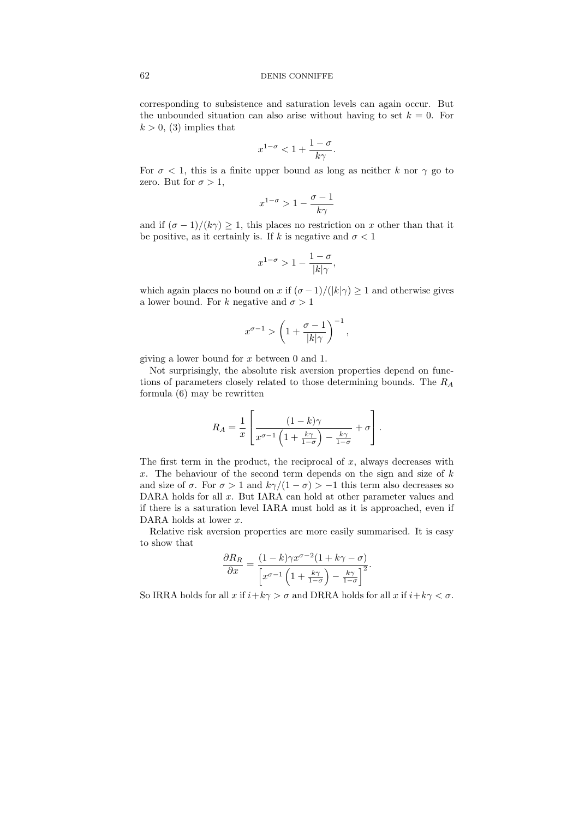### 62 DENIS CONNIFFE

corresponding to subsistence and saturation levels can again occur. But the unbounded situation can also arise without having to set  $k = 0$ . For  $k > 0$ , (3) implies that

$$
x^{1-\sigma} < 1 + \frac{1-\sigma}{k\gamma}.
$$

For  $\sigma$  < 1, this is a finite upper bound as long as neither k nor  $\gamma$  go to zero. But for  $\sigma > 1$ ,

$$
x^{1-\sigma} > 1 - \frac{\sigma - 1}{k\gamma}
$$

and if  $(\sigma - 1)/(k\gamma) \geq 1$ , this places no restriction on x other than that it be positive, as it certainly is. If k is negative and  $\sigma < 1$ 

$$
x^{1-\sigma} > 1 - \frac{1-\sigma}{|k|\gamma},
$$

which again places no bound on x if  $(\sigma-1)/(|k|\gamma) \geq 1$  and otherwise gives a lower bound. For k negative and  $\sigma > 1$ 

$$
x^{\sigma-1} > \left(1 + \frac{\sigma-1}{|k| \gamma}\right)^{-1},
$$

giving a lower bound for x between 0 and 1.

Not surprisingly, the absolute risk aversion properties depend on functions of parameters closely related to those determining bounds. The  $R_A$ formula (6) may be rewritten

$$
R_A = \frac{1}{x} \left[ \frac{(1-k)\gamma}{x^{\sigma-1} \left( 1 + \frac{k\gamma}{1-\sigma} \right) - \frac{k\gamma}{1-\sigma}} + \sigma \right].
$$

The first term in the product, the reciprocal of  $x$ , always decreases with x. The behaviour of the second term depends on the sign and size of  $k$ and size of  $\sigma$ . For  $\sigma > 1$  and  $k\gamma/(1 - \sigma) > -1$  this term also decreases so DARA holds for all x. But IARA can hold at other parameter values and if there is a saturation level IARA must hold as it is approached, even if DARA holds at lower  $x$ .

Relative risk aversion properties are more easily summarised. It is easy to show that

$$
\frac{\partial R_R}{\partial x} = \frac{(1-k)\gamma x^{\sigma-2} (1+k\gamma-\sigma)}{\left[x^{\sigma-1} \left(1+\frac{k\gamma}{1-\sigma}\right)-\frac{k\gamma}{1-\sigma}\right]^2}.
$$

So IRRA holds for all x if  $i+k\gamma > \sigma$  and DRRA holds for all x if  $i+k\gamma < \sigma$ .